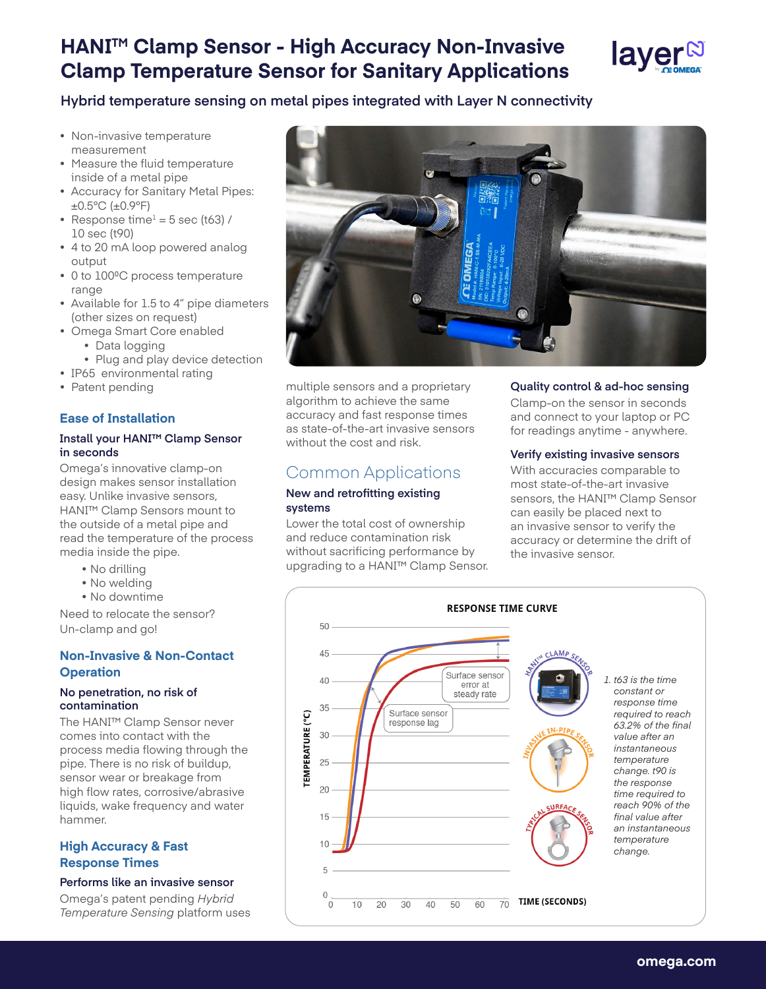# **HANITM Clamp Sensor - High Accuracy Non-Invasive Clamp Temperature Sensor for Sanitary Applications**



## **Hybrid temperature sensing on metal pipes integrated with Layer N connectivity**

- Non-invasive temperature measurement
- Measure the fluid temperature inside of a metal pipe
- Accuracy for Sanitary Metal Pipes: ±0.5°C (±0.9°F)
- Response time<sup>1</sup> = 5 sec (t63) / 10 sec (t90)
- 4 to 20 mA loop powered analog output
- 0 to 100°C process temperature range
- Available for 1.5 to 4" pipe diameters (other sizes on request)
- Omega Smart Core enabled
	- Data logging
	- Plug and play device detection
- IP65 environmental rating
- Patent pending

## **Ease of Installation**

### **Install your HANI™ Clamp Sensor in seconds**

Omega's innovative clamp-on design makes sensor installation easy. Unlike invasive sensors, HANI™ Clamp Sensors mount to the outside of a metal pipe and read the temperature of the process media inside the pipe.

- No drilling
- No welding
- No downtime

Need to relocate the sensor? Un-clamp and go!

## **Non-Invasive & Non-Contact Operation**

#### **No penetration, no risk of contamination**

The HANI™ Clamp Sensor never comes into contact with the process media flowing through the pipe. There is no risk of buildup, sensor wear or breakage from high flow rates, corrosive/abrasive liquids, wake frequency and water hammer.

## **High Accuracy & Fast Response Times**

## **Performs like an invasive sensor**

Omega's patent pending *Hybrid Temperature Sensing* platform uses



multiple sensors and a proprietary algorithm to achieve the same accuracy and fast response times as state-of-the-art invasive sensors without the cost and risk.

# Common Applications

#### **New and retrofitting existing systems**

Lower the total cost of ownership and reduce contamination risk without sacrificing performance by upgrading to a HANI™ Clamp Sensor.

#### **Quality control & ad-hoc sensing**

Clamp-on the sensor in seconds and connect to your laptop or PC for readings anytime - anywhere.

## **Verify existing invasive sensors**

With accuracies comparable to most state-of-the-art invasive sensors, the HANI™ Clamp Sensor can easily be placed next to an invasive sensor to verify the accuracy or determine the drift of the invasive sensor.

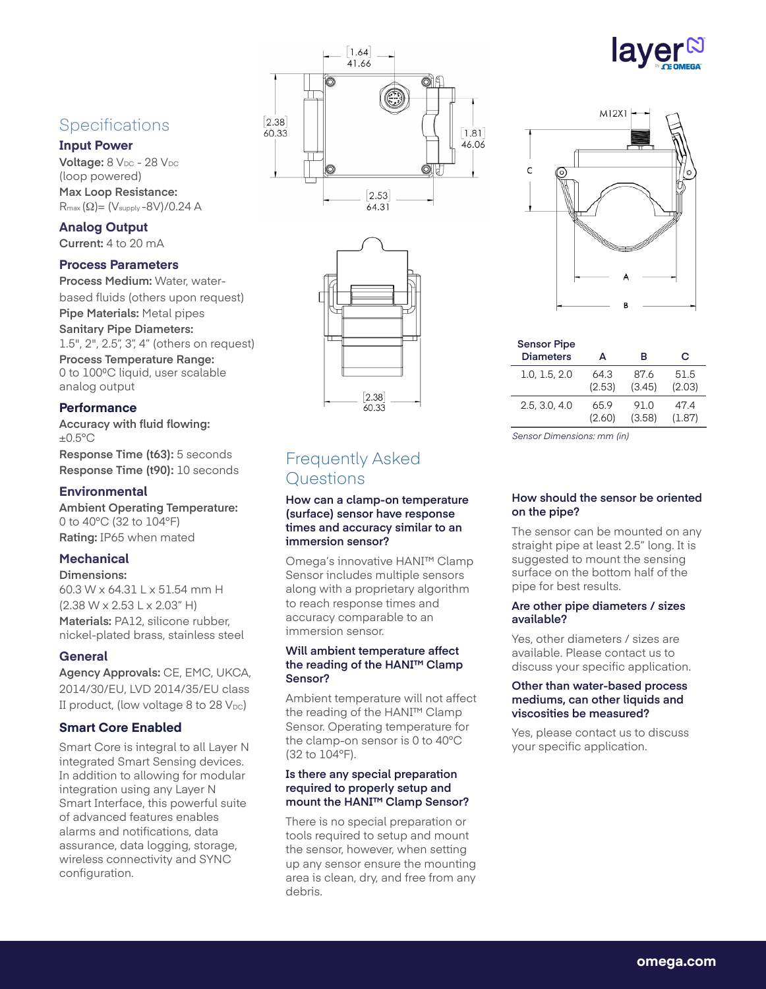# **Specifications**

## **Input Power**

**Voltage:** 8 V<sub>DC</sub> - 28 V<sub>DC</sub> (loop powered) **Max Loop Resistance:** Rmax (Ω)= (Vsupply -8V)/0.24 A

## **Analog Output**

**Current:** 4 to 20 mA

## **Process Parameters**

**Process Medium:** Water, waterbased fluids (others upon request) **Pipe Materials:** Metal pipes **Sanitary Pipe Diameters:** 1.5", 2", 2.5", 3", 4" (others on request) **Process Temperature Range:** 0 to 100°C liquid, user scalable analog output

## **Performance**

**Accuracy with fluid flowing:**  $\pm 0.5$ °C **Response Time (t63):** 5 seconds **Response Time (t90):** 10 seconds

## **Environmental**

**Ambient Operating Temperature:** 0 to 40°C (32 to 104°F) **Rating:** IP65 when mated

## **Mechanical**

## **Dimensions:**

60.3 W x 64.31 L x 51.54 mm H (2.38 W x 2.53 L x 2.03" H) **Materials:** PA12, silicone rubber, nickel-plated brass, stainless steel

## **General**

**Agency Approvals:** CE, EMC, UKCA, 2014/30/EU, LVD 2014/35/EU class II product, (low voltage 8 to 28  $V_{DC}$ )

## **Smart Core Enabled**

Smart Core is integral to all Layer N integrated Smart Sensing devices. In addition to allowing for modular integration using any Layer N Smart Interface, this powerful suite of advanced features enables alarms and notifications, data assurance, data logging, storage, wireless connectivity and SYNC configuration.





# Frequently Asked Questions

**How can a clamp-on temperature (surface) sensor have response times and accuracy similar to an immersion sensor?**

Omega's innovative HANI™ Clamp Sensor includes multiple sensors along with a proprietary algorithm to reach response times and accuracy comparable to an immersion sensor.

### **Will ambient temperature affect the reading of the HANI™ Clamp Sensor?**

Ambient temperature will not affect the reading of the HANI™ Clamp Sensor. Operating temperature for the clamp-on sensor is 0 to 40°C (32 to 104°F).

#### **Is there any special preparation required to properly setup and mount the HANI™ Clamp Sensor?**

There is no special preparation or tools required to setup and mount the sensor, however, when setting up any sensor ensure the mounting area is clean, dry, and free from any debris.



| <b>Sensor Pipe</b><br><b>Diameters</b> | А      | в      | С      |
|----------------------------------------|--------|--------|--------|
| 1.0, 1.5, 2.0                          | 643    | 87.6   | 51.5   |
|                                        | (2.53) | (3.45) | (2.03) |
| 2.5.3.0.4.0                            | 65.9   | 91.0   | 474    |
|                                        | (2.60) | (3.58) | (1.87) |

*Sensor Dimensions: mm (in)*

## **How should the sensor be oriented on the pipe?**

The sensor can be mounted on any straight pipe at least 2.5" long. It is suggested to mount the sensing surface on the bottom half of the pipe for best results.

#### **Are other pipe diameters / sizes available?**

Yes, other diameters / sizes are available. Please contact us to discuss your specific application.

#### **Other than water-based process mediums, can other liquids and viscosities be measured?**

Yes, please contact us to discuss your specific application.